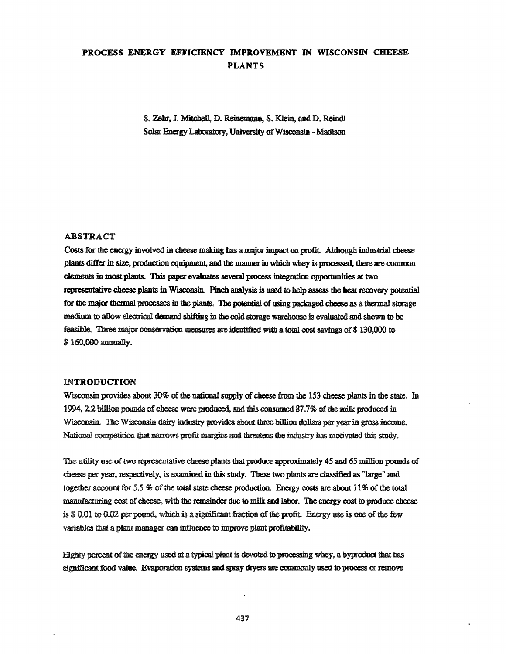# PROCESS ENERGY EFFICIENCY IMPROVEMENT IN WISCONSIN CHEESE PLANTS

S. Zehr, J. Mitchell, D. Reinemann, S. Klein, and D. Reindl Solar Energy Laboratory, University of Wisconsin - Madison

## ABSTRACT

Costs for the energy involved in cheese making has a major impact on profit. Although industrial cheese plants differ in size, productioo equipment, and the manner in which whey is processed, there are common elements in most plants. This paper evaluates several process integration opportunities at two representative cheese plants in Wisconsin. Pinch analysis is used to help assess the heat recovery potential for the major thermal processes in the plants. The potential of using packaged cheese as a thermal storage medium to allow electrical demand shifting in the cold storage warehouse is evaluated and shown to be feasible. Three major conservation measures are identified with a total cost savings of \$ 130,000 to \$160,000 annually.

## INTRODUCTION

Wisconsin provides about 30% of the national supply of cheese from the 153 cheese plants in the state. In 1994, 2.2 billion pounds of cheese were produced, and this consumed 87.7% of the milk produced in Wisconsin. The Wisconsin dairy industry provides about three billion dollars per year in gross income. National competition that narrows profit margins and threatens the industry has motivated this study.

The utility use of two representative cheese plants that produce approximately 45 and 65 million pounds of cheese per year, respectively, is examined in this study. 'These two plants are classified as "large" and together account for  $5.5$  % of the total state cheese production. Energy costs are about  $11\%$  of the total manufacturing cost of cheese, with the remainder due to milk and labor. The energy cost to produce cheese is \$ 0.01 to 0.02 per pound, which is a significant fraction of the profit. Energy use is one of the few variables that a plant manager can influence to improve plant profitability.

Eighty percent of the energy used at a typical plant is devoted to processing whey, a byproduct that has significant food value. Evaporation systems and spray dryers are commonly used to process or remove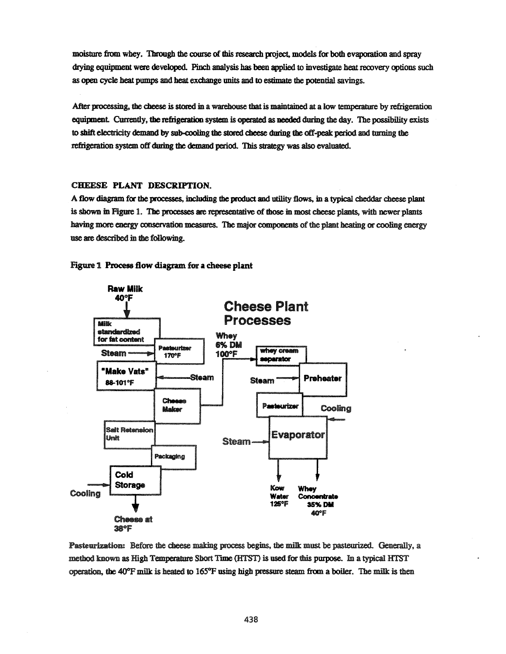moisture from whey. Through the course of this research project, models for both evaporation and spray drying equipment were developed.. Pinch analysis has been applied to investigate heat recovery options such as open cycle beat pumps and beat exchange units and to estimate the potential savings.

After processing, the cheese is stored in a warehouse that is maintained at a low temperature by refrigeration equipment. Currently, the refrigeration system is operated as needed during the day. The possibility exists to sbift electticity demand by sub-cooling the stored cheese during the off-peat period and turning the refrigeration system off during the demand period. This strategy was also evaluated.

## CHEESE PLANT DESCRIPTION.

A flow diagram for the processes, including the product and utility flows, in a typical cheddar cheese plant is shown in Figure 1. The processes are representative of those in most cheese plants, with newer plants having more energy conservation measures. The major components of the plant heating or cooling energy use are described in the following.





Pasteurization: Before the cheese making process begins, the milk must be pasteurized. Generally, a method known as High Temperature Short Time (HTST) is used for this purpose. In a typical HTST operation, the  $40^{\circ}$ F milk is heated to  $165^{\circ}$ F using high pressure steam from a boiler. The milk is then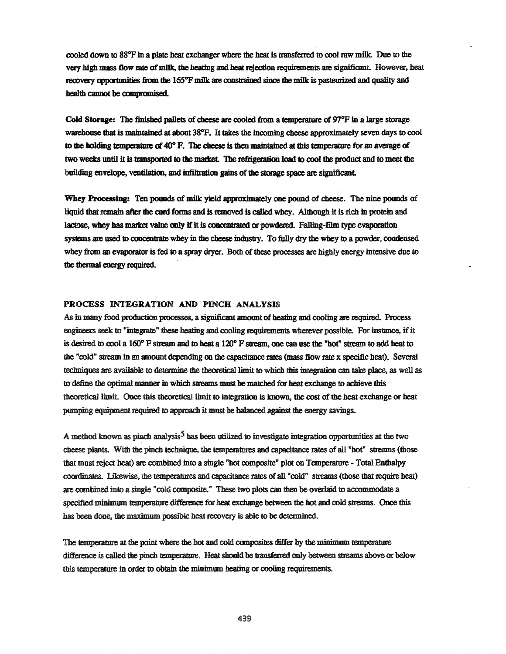cooled down to  $88^{\circ}$ F in a plate heat exchanger where the heat is transferred to cool raw milk. Due to the very high mass flow rate of milk, the heating and heat rejection requirements are significant. However, heat recovery opportunities from the 165<sup>o</sup>F milk are constrained since the milk is pasteurized and quality and health cannot be compromised

Cold Storage: The finished pallets of cheese are cooled from a temperature of  $97^{\circ}F$  in a large storage warehouse that is maintained at about 38°F. It takes the incoming cheese approximately seven days to cool to the holding temperature of  $40^{\circ}$  F. The cheese is then maintained at this temperature for an average of two weeks until it is transported to the market. The refrigeration load to cool the product and to meet the building envelope, ventilation, and infiltration gains of the storage space are significant.

Whey Processing: Ten pounds of milk yield approximately one pound of cheese. The nine pounds of liquid that remain after the curd forms and is removed is called whey. Although it is rich in protein and lactose, whey has market value only if it is concentrated or powdered. Falling-film type evaporation systems are used to concentrate whey in the cheese industry. To fully dry the whey to a powder, condensed whey from an evaporator is fed to a spray dryer. Both of these processes are highly energy intensive due to the thermal energy required.

## PROCESS INTEGRATION AND PINCH ANALYSIS

As in many food production processes, a significant amount of heating and cooling are required. Process engineers seek to "integrate" 1bese beating and cooling requirements wherever possible. For instance, ifit is desired to cool a 160° F stream. and to heat a 120° F stteam, one can use the "hot" stream to add heat to the "cold" stream in an amount depending on the capacitance rates (mass flow rate x specific heat). Several techniques are available to determine the theoretical limit to which this integration can take place, as well as to define the optimal manner in which streams must be matched for heat exchange to achieve this theoretical limit. Once this theoretical limit to integration is known, the cost of the heat exchange or heat pumping equipment required to approach it must be balanced against the energy savings.

A method known as pinch analysis<sup>5</sup> has been utilized to investigate integration opportunities at the two cheese plants. With the pinch technique, the temperatures and capacitance rates of all "hot" streams (those that must reject heat) are combined into a single "hot composite" plot on Temperature - Total Enthalpy coordinates. Likewise, the temperatures and capacitance rates of all "cold" streams (those that require heat) are combined into a single "cold composite." These two plots can then be overlaid to accommodate a specified minimum temperature difference for heat exchange between the hot and cold streams. Once this has been done, the maximum possible heat recovery is able to be determined.

The temperature at the point where the hot and cold composites differ by the minimum temperature difference is called the pinch temperature. Heat should be transferred only between streams above or below this temperature in order to obtain the minimum heating or cooling requirements.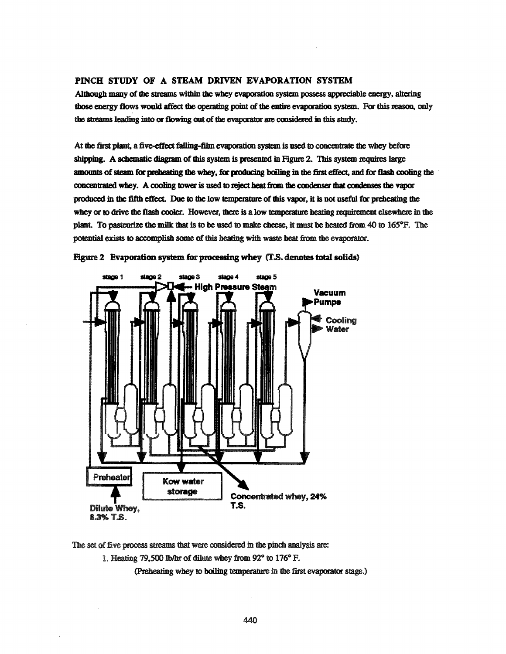## PINCH STUDY OF A STEAM DRIVEN EVAPORATION SYSTEM

Although many of the streams within the whey evaporation system possess appreciable energy, altering those energy flows would affect the operating point of the entire evaporation system. For this reason, only the streams leading into or flowing out of the evaporator are considered in this study.

At the first plant, a five-effect falling-film evaporation system is used to concentrate the whey before shipping. A schematic diagram of this system is presented in Figure 2. This system requires large amounts of steam for preheating the whey, for producing boiling in the first effect, and for flash cooling the concentrated whey. A cooling tower is used to reject heat from the condenser that condenses the vapor produced in the fifth effect. Due to the low temperature of this vapor, it is not useful for preheating the whey or to drive the flash cooler. However, there is a low temperature heating requirement elsewhere in the plant. To pasteurize the milk that is to be used to make cheese, it must be heated from  $40$  to  $165^\circ F$ . The potential exists to accomplish some of this heating with waste heat from the evaporator.



Figure 2 Evaporation system for processing whey (T.S. denotes total solids)

The set of five process streams that were considered in the pinch analysis are:

1. Heating 79,500 lb/hr of dilute whey from 92 $^{\circ}$  to 176 $^{\circ}$  F.

(Preheating whey to boiling temperature in the first evaporator stage.)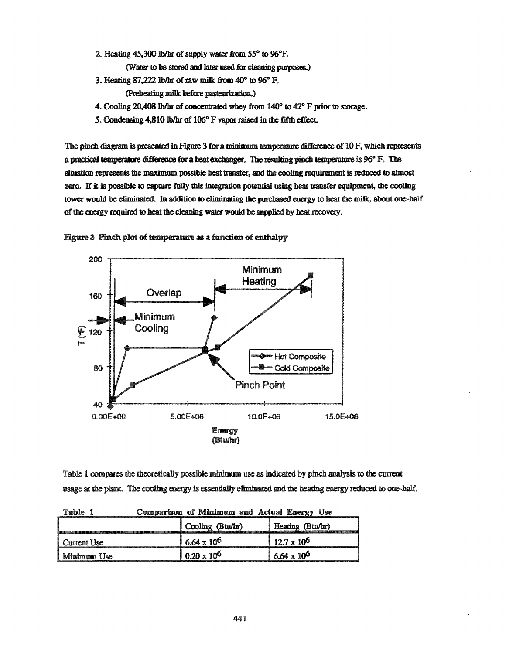2. Heating  $45,300$  lb/hr of supply water from  $55^{\circ}$  to  $96^{\circ}$ F.

(Water to be stored and later used for cleaning purposes.)

3. Heating 87,222 lb/hr of raw milk from  $40^{\circ}$  to  $96^{\circ}$  F.

(Preheating milt before pasteurization.)

- 4. Cooling 20,408 Ib/hr of concentrated whey from  $140^{\circ}$  to  $42^{\circ}$  F prior to storage.
- 5. Condensing 4,810 lb/hr of 106° F vapor raised in the fifth effect.

The pinch diagram is presented in Figure 3 for a minimum temperature difference of 10 F, which represents a practical temperature difference for a heat exchanger. The resulting pinch temperature is 96° F. The situation represents the maximum possible heat transfer, and the cooling requirement is reduced to almost zero. If it is possible to capture fully this integration potential using heat transfer equipment, the cooling tower would be eliminated. In addition to eliminating the purchased energy to heat the milk, about one-half of the energy required to heat the cleaning water would be supplied by heat recovery.





Table 1 compares the theoretically possible minimum use as indicated by pinch analysis to the current usage at the plant. The cooling energy is essentially eliminated and the heating energy reduced to one-half.

| Table                    | Comparison of Minimum and Actual Energy Use |                      |  |
|--------------------------|---------------------------------------------|----------------------|--|
|                          | Cooling (Btu/hr)                            | Heating (Btu/hr)     |  |
| <sup>1</sup> Current Use | $6.64 \times 10^{6}$                        | $12.7 \times 10^{6}$ |  |
| Minimum Use              | $0.20 \times 10^{6}$                        | $6.64 \times 10^{6}$ |  |

Table 1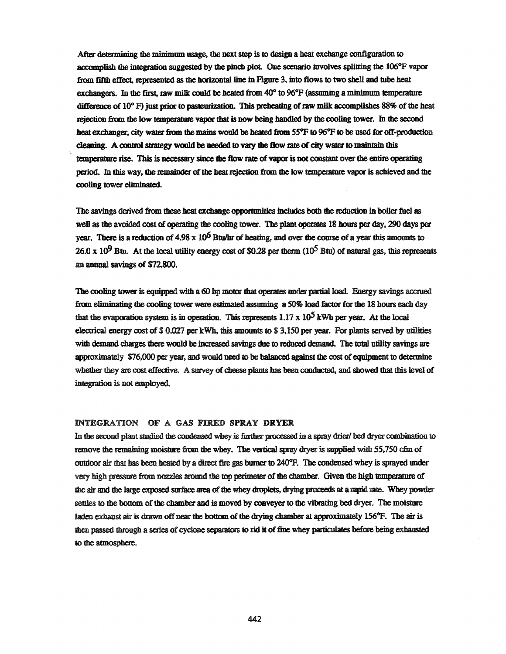After determining the minimum usage, the next step is to design a heat exchange configuration to accomplish the integration suggested by the pinch plot. One scenario involves splitting the  $106^{\circ}$ F vapor from fifth effect, represented as the horizontal line in Figure 3, into flows to two shell and tube heat exchangers. In the first, raw milk could be heated from  $40^{\circ}$  to  $96^{\circ}$ F (assuming a minimum temperature difference of  $10^{\circ}$  F) just prior to pasteurization. This preheating of raw milk accomplishes 88% of the heat rejection from the low temperature vapor that is now being handled by the cooling tower. In the second heat exchanger, city water from the mains would be heated from 55°F to 96°F to be used for off-production cleaning. A control strategy would be needed to vary the flow rate of city water to maintain this temperature rise. This is necessary since the flow rate of vapor is not constant over the entire operating period. In this way, the remainder of the heat rejection from the low temperature vapor is achieved and the cooling tower eliminated.

The savings derived from these heat exchange opportunities includes both the reduction in boiler fuel as well as the avoided cost of operating the cooling tower. The plant operates 18 hours per day, 290 days per year. There is a reduction of 4.98 x  $10<sup>6</sup>$  Btu/hr of heating, and over the course of a year this amounts to 26.0 x 10<sup>9</sup> Btu. At the local utility energy cost of \$0.28 per therm (10<sup>5</sup> Btu) of natural gas, this represents an ammal savings of \$72,800.

The cooling tower is equipped with a 60 hp motor that operates under partial load. Energy savings accrued from eliminating the cooling tower were estimated assuming a 50% load factor for the 18 hoors each day that the evaporation system is in operation. This represents  $1.17 \times 10^5$  kWh per year. At the local electrical energy cost of  $$ 0.027$  per kWh, this amounts to  $$ 3,150$  per year. For plants served by utilities with demand charges there would be increased savings due to reduced demand. The total utility savings are approximately \$76,000 per year, and would need to be balanced against the cost of equipment to determine whether they are cost effective. A survey of cheese plants has been conducted, and showed that this level of integration is not employed.

## INTEGRATION OF A GAS FIRED SPRAY DRYER

In the second plant studied the condensed whey is further processed in a spray drier/ bed dryer combination to remove the remaining moisture from the whey. The vertical spray dryer is supplied with 55,750 cfm of outdoor air that has been heated by a direct fire gas burner to 240°F. The condensed whey is sprayed under very high pressure from nozzles around the top perimeter ofthe chamber. Given the high temperature of the air and the large exposed surface area of the whey droplets, drying proceeds at a mpid me. Whey powder settles to the bottom of the chamber and is moved by conveyer to the vibrating bed dryer. The moisture laden exhaust air is drawn off near the bottom of the drying chamber at approximately 156°F. The air is then passed through a series of cyclone separators to rid it of fine whey particulates before being exhausted to the atmosphere.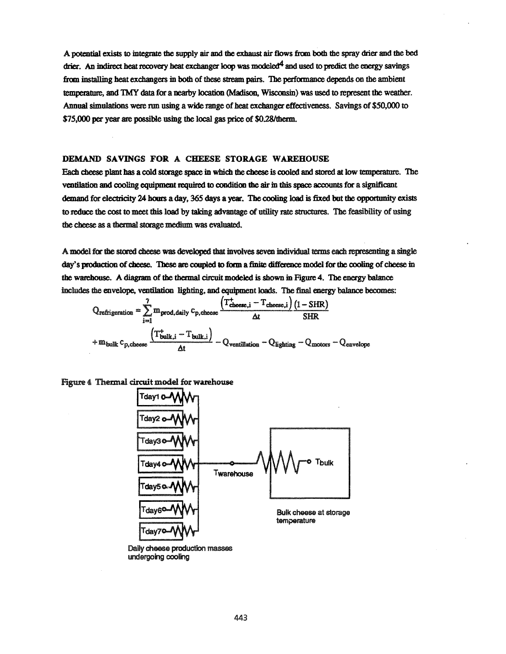A potential exists to integrate the supply air and the exhaust air flows from both the spray drier and the bed drier. An indirect heat recovery heat exchanger loop was modeled<sup>4</sup> and used to predict the energy savings from installing heat exchangers in both of these stream pairs. The performance depends on the ambient temperature, and TMY data for a nearby location (Madison, Wisconsin) was used to represent the weather. Annual simulations were run using a wide range of heat exchanger effectiveness. Savings of \$50,000 to \$75,000 per year are possible using the local gas price of \$0.28/therm.

## DEMAND SAVINGS FOR A CHEESE STORAGE WAREHOUSE

Each cheese plant has a cold storage space in which the cheese is cooled and stored at low temperature. The ventilation and cooling equipment required to condition the air in this space accounts for a significant demand for electricity 24 hours a day, 365 days a year. The cooling load is fixed but the opportunity exists to reduce the cost to meet this load by taking advantage of utility rate structures. The feasibility of using the cheese as a thermal storage medium was evaluated.

A model for the stored cheese was developed that involves seven individual terms each representing a single day's production of cheese. These are coupled to form a finite difference model for the cooling of cheese in the warehouse. A diagram of the thermal circuit modeled is shown in Figure 4. The energy balance includes the envelope, ventilation lighting, and equipment loads. The final energy balance becomes:

$$
Q_{refrigeration} = \sum_{i=1}^{7} m_{prod, daily} c_{p, cheese} \frac{(T_{choese,i}^{+} - T_{cheese,i}) (1 - SHR)}{\Delta t} + m_{bulk} c_{p, cheese} \frac{(T_{bulk,i}^{+} - T_{bulk,i})}{\Delta t} - Q_{ventilation} - Q_{lighting} - Q_{motorso} - Q_{envelopes}
$$

## Figure 4 Thermal circuit model for warehouse



Daily cheese production masses undergoing cooling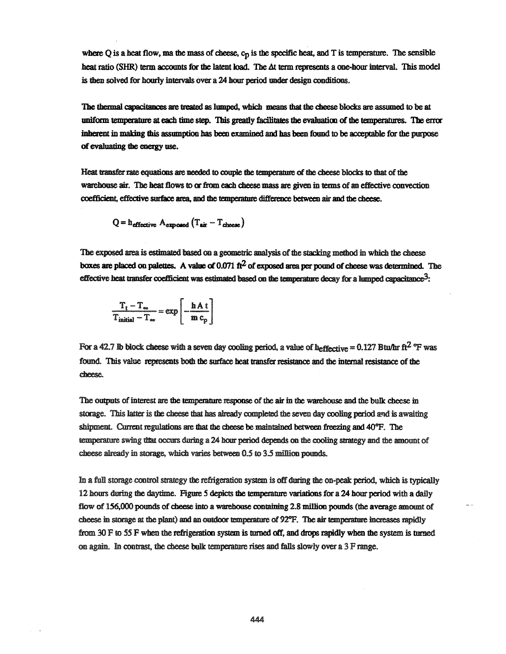where  $Q$  is a heat flow, ma the mass of cheese,  $c_p$  is the specific heat, and T is temperature. The sensible heat ratio (SHR) term accounts for the latent load. The  $\Delta t$  term represents a one-hour interval. This model is then solved for hourly intervals over a 24 hour period under design conditions.

The thermal capacitances are treated as lumped, which means that the cheese blocks are assumed to be at uniform temperature at each time step. This greatly facilitates the evaluation of the temperatures. The error inherent in making this assumption has been examined and has been found to be acceptable for the purpose of evaluating the energy use.

Heat transfer rate equations are needed to couple the temperature of the cheese blocks to that of the warehouse air. The heat flows to or from each cheese mass are given in terms of an effective convection coefficient, effective surface area, and the temperature difference between air and the cheese.

$$
Q = h_{\text{effective}} A_{\text{exposed}} (T_{\text{air}} - T_{\text{chesse}})
$$

The exposed area is estimated based on a geometric analysis of the stacking method in which the cheese boxes are placed on palettes. A value of  $0.071 \text{ ft}^2$  of exposed area per pound of cheese was determined. The effective heat transfer coefficient was estimated based on the temperature decay for a lumped capacitance<sup>3</sup>:

$$
\frac{T_t - T_{\infty}}{T_{initial} - T_{\infty}} = \exp\left[-\frac{hA t}{m c_p}\right]
$$

For a 42.7 Ib block cheese with a seven day cooling period, a value of heffective = 0.127 Btu/hr ft<sup>2</sup> <sup>o</sup>f was found. This value represents both the surface heat transfer resistance and the internal resistance of the cheese.

The outputs of interest are the temperature response of the air in the warehouse and the bulk cheese in storage. This latter is the cheese that has already completed the seven day cooling period and is awaiting shipment. Current regulations are that the cheese be maintained between freezing and  $40^{\circ}$ F. The temperature swing that occurs during a 24 hour period depends on the cooling strategy and the amount of cheese already in storage, which varies between 0.5 to 3.5 millioo pounds.

In a full storage control strategy the refrigeration system is off during the on-peak period, which is typically 12 hours during the daytime. Figure 5 depicts the temperature variations for a 24 hour period with a daily flow of 156,000 pounds of cheese into a warehouse containing 2.8 million pounds (the average amount of cheese in storage at the plant) and an outdoor temperature of 92°F. The air temperature increases rapidly from 30 F to 55 F when the refrigeration system is turned off, and drops rapidly when the system is turned on again. In contrast, the cheese bulk temperature rises and falls slowly over a  $3 \text{ F range}$ .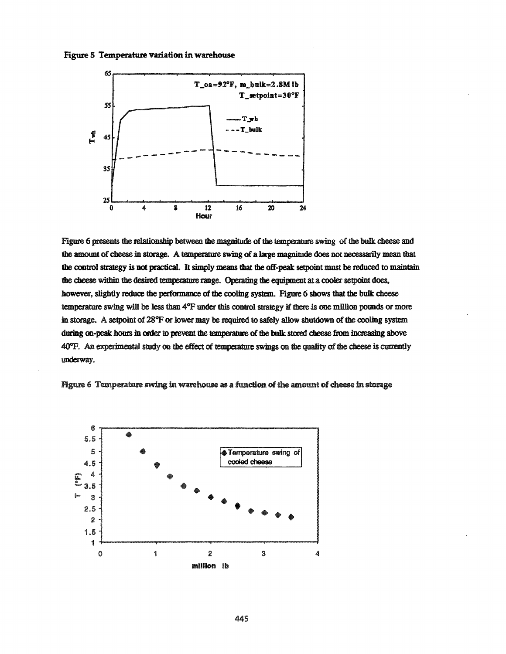



Figure 6 presents the relationship between the magnitude of the temperature swing of the bulk cheese and the amount of cheese in storage. A temperature swing of a large magnitude does not necessarily mean that the control strategy is not practical. It simply means that the off-peak setpoint must be reduced to maintain the cheese within the desired temperature range. Operating the equipment at a cooler setpoint does, however, slightly reduce the performance of the cooling system. Figure 6 shows that the bulk cheese temperature swing will be less than 4°F under this control strategy if there is one million pounds or more in storage. A setpoint of 28°F or lower may be required to safely allow shutdown of the cooling system during on-peak hours in order to prevent the temperature of the bulk stored cheese from increasing above 40°F. An experimental study on the effect of temperature swings on the quality of the cheese is currently underway.



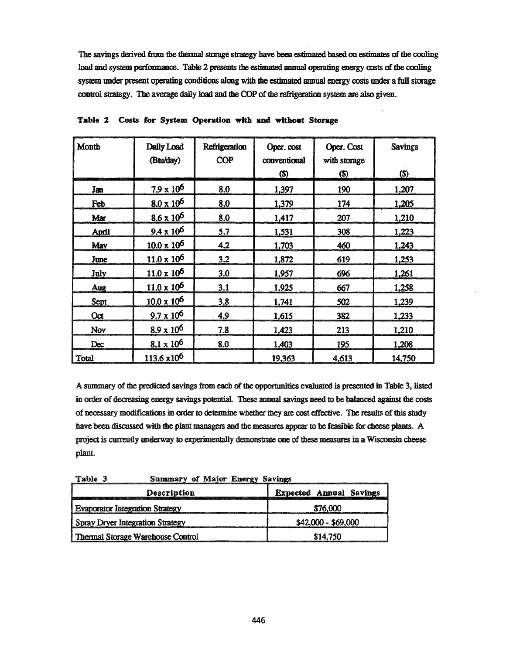The savings derived from the thermal storage strategy have been estimated based on estimates of the cooling load and system performance. Table 2 presents the estimated annual operating energy costs of the cooling system under present operating conditions along with the estimated annual energy costs under a full storage control strategy. The average daily load and the COP of the refrigeration system are also given.

| Month       | Daily Load<br>(Btu/day)      | Refrigeration<br><b>COP</b> | Oper. cost<br>conventional<br>(\$) | Oper. Cost<br>with storage<br><u>(\$)</u> | <b>Savings</b><br>\$ |
|-------------|------------------------------|-----------------------------|------------------------------------|-------------------------------------------|----------------------|
| Jan         | $7.9 \times 10^6$            | 8.0                         | 1,397                              | 190                                       | 1,207                |
| Feb         | $8.0 \times 10^6$            | 8.0                         | 1,379                              | 174                                       | 1,205                |
| Mar         | $8.6 \times 10^6$            | 8.0                         | 1,417                              | 207                                       | 1,210                |
| April       | $9.4 \times 10^6$            | 5.7                         | 1,531                              | 308                                       | 1,223                |
| May         | $10.0 \times 10^6$           | 4.2                         | 1,703                              | 460                                       | 1,243                |
| June        | $11.0 \times 10^6$           | 3.2                         | 1,872                              | 619                                       | 1,253                |
| July        | $\frac{11.0 \times 10^6}{1}$ | 3.0                         | 1,957                              | 696                                       | 1,261                |
| Aug         | $11.0 \times 10^6$           | 3.1                         | 1,925                              | 667                                       | 1,258                |
| <b>Sept</b> | $10.0 \times 10^6$           | 3.8                         | 1,741                              | 502                                       | 1,239                |
| Oct         | $9.7 \times 10^6$            | 4.9                         | 1,615                              | 382                                       | 1,233                |
| Nov         | $8.9 \times 10^6$            | 7.8                         | 1,423                              | 213                                       | 1,210                |
| Dec         | $8.1 \times 10^6$            | 8.0                         | 1,403                              | 195                                       | 1,208                |
| Total       | $113.6 \times 10^6$          |                             | 19,363                             | 4,613                                     | 14,750               |

Table 2 Costs for System Operation with and without Storage

A summary of the predicted savings from each of the opportunities evaluated is presented in Table 3, listed in order of decreasing energy savings potential. These annual savings need to be balanced against the costs of necessary modifications in order to determine whether they are cost effective. The results of this study have been discussed with the plant managers and the measures appear to be feasible for cheese plants. A project is currently underway to experimentally demonstrate one of these measures in a Wisconsin cheese plant.

**Summary of Major Energy Savings** Table 3

| <b>Description</b>                                 | <b>Expected Annual Savings</b> |  |
|----------------------------------------------------|--------------------------------|--|
| <b>Evaporator Integration Strategy</b><br>\$76,000 |                                |  |
| Spray Dryer Integration Strategy                   | $$42,000 - $69,000$            |  |
| Thermal Storage Warehouse Control                  | \$14.750                       |  |